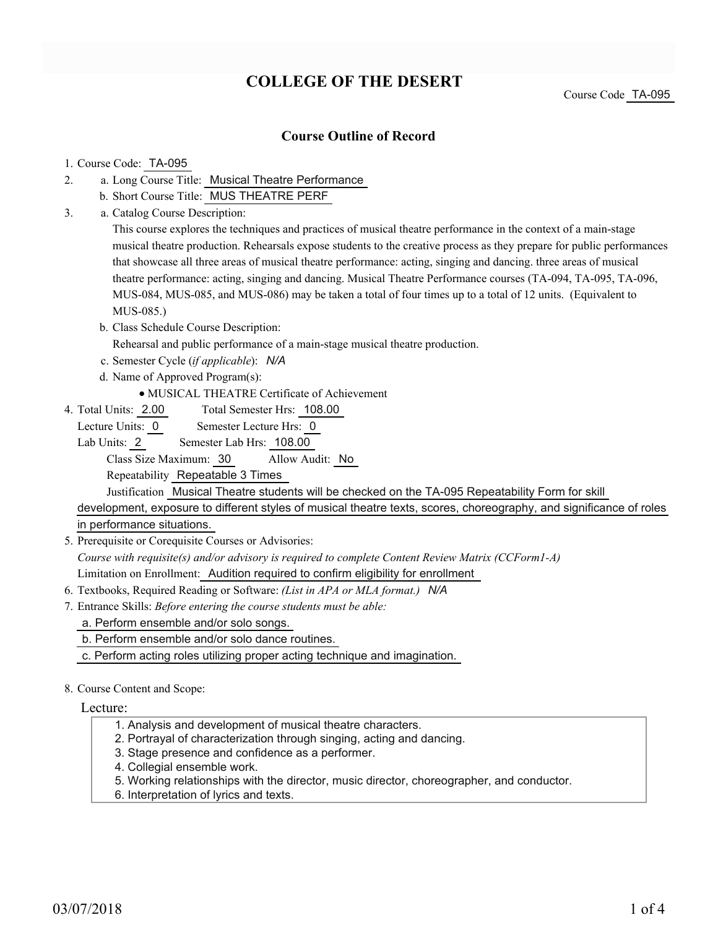# **COLLEGE OF THE DESERT**

Course Code TA-095

### **Course Outline of Record**

### 1. Course Code: TA-095

- a. Long Course Title: Musical Theatre Performance 2.
	- b. Short Course Title: MUS THEATRE PERF
- Catalog Course Description: a. 3.

This course explores the techniques and practices of musical theatre performance in the context of a main-stage musical theatre production. Rehearsals expose students to the creative process as they prepare for public performances that showcase all three areas of musical theatre performance: acting, singing and dancing. three areas of musical theatre performance: acting, singing and dancing. Musical Theatre Performance courses (TA-094, TA-095, TA-096, MUS-084, MUS-085, and MUS-086) may be taken a total of four times up to a total of 12 units. (Equivalent to MUS-085.)

b. Class Schedule Course Description:

Rehearsal and public performance of a main-stage musical theatre production.

- c. Semester Cycle (*if applicable*): *N/A*
- d. Name of Approved Program(s):
	- MUSICAL THEATRE Certificate of Achievement
- Total Semester Hrs: 108.00 4. Total Units: 2.00
- Lecture Units: 0 Semester Lecture Hrs: 0

Lab Units: 2 Semester Lab Hrs: 108.00

Class Size Maximum: 30 Allow Audit: No

Repeatability Repeatable 3 Times

Justification Musical Theatre students will be checked on the TA-095 Repeatability Form for skill

development, exposure to different styles of musical theatre texts, scores, choreography, and significance of roles in performance situations.

5. Prerequisite or Corequisite Courses or Advisories:

*Course with requisite(s) and/or advisory is required to complete Content Review Matrix (CCForm1-A)* Limitation on Enrollment: Audition required to confirm eligibility for enrollment

- 6. Textbooks, Required Reading or Software: *(List in APA or MLA format.) N/A*
- Entrance Skills: *Before entering the course students must be able:* 7.
	- a. Perform ensemble and/or solo songs.
	- b. Perform ensemble and/or solo dance routines.
	- c. Perform acting roles utilizing proper acting technique and imagination.

#### 8. Course Content and Scope:

#### Lecture:

- 1. Analysis and development of musical theatre characters.
- 2. Portrayal of characterization through singing, acting and dancing.
- 3. Stage presence and confidence as a performer.
- 4. Collegial ensemble work.
- 5. Working relationships with the director, music director, choreographer, and conductor.
- 6. Interpretation of lyrics and texts.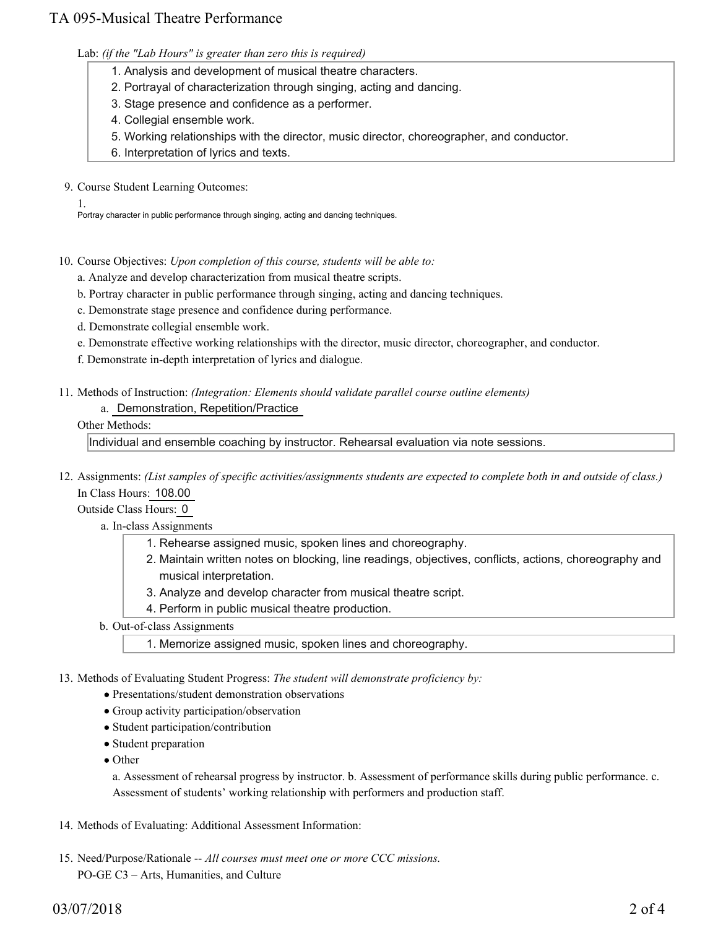## TA 095-Musical Theatre Performance

Lab: *(if the "Lab Hours" is greater than zero this is required)*

- 1. Analysis and development of musical theatre characters.
- 2. Portrayal of characterization through singing, acting and dancing.
- 3. Stage presence and confidence as a performer.
- 4. Collegial ensemble work.
- 5. Working relationships with the director, music director, choreographer, and conductor.
- 6. Interpretation of lyrics and texts.

9. Course Student Learning Outcomes:

1. Portray character in public performance through singing, acting and dancing techniques.

10. Course Objectives: Upon completion of this course, students will be able to:

- a. Analyze and develop characterization from musical theatre scripts.
- b. Portray character in public performance through singing, acting and dancing techniques.
- c. Demonstrate stage presence and confidence during performance.
- d. Demonstrate collegial ensemble work.
- e. Demonstrate effective working relationships with the director, music director, choreographer, and conductor.
- f. Demonstrate in-depth interpretation of lyrics and dialogue.
- Methods of Instruction: *(Integration: Elements should validate parallel course outline elements)* 11.
	- a. Demonstration, Repetition/Practice

### Other Methods:

Individual and ensemble coaching by instructor. Rehearsal evaluation via note sessions.

12. Assignments: (List samples of specific activities/assignments students are expected to complete both in and outside of class.) In Class Hours: 108.00

Outside Class Hours: 0

- a. In-class Assignments
	- 1. Rehearse assigned music, spoken lines and choreography.
	- 2. Maintain written notes on blocking, line readings, objectives, conflicts, actions, choreography and musical interpretation.
	- 3. Analyze and develop character from musical theatre script.
	- 4. Perform in public musical theatre production.
- b. Out-of-class Assignments
	- 1. Memorize assigned music, spoken lines and choreography.
- 13. Methods of Evaluating Student Progress: The student will demonstrate proficiency by:
	- Presentations/student demonstration observations
	- Group activity participation/observation
	- Student participation/contribution
	- Student preparation
	- Other

a. Assessment of rehearsal progress by instructor. b. Assessment of performance skills during public performance. c. Assessment of students' working relationship with performers and production staff.

- 14. Methods of Evaluating: Additional Assessment Information:
- 15. Need/Purpose/Rationale -- All courses must meet one or more CCC missions. PO-GE C3 – Arts, Humanities, and Culture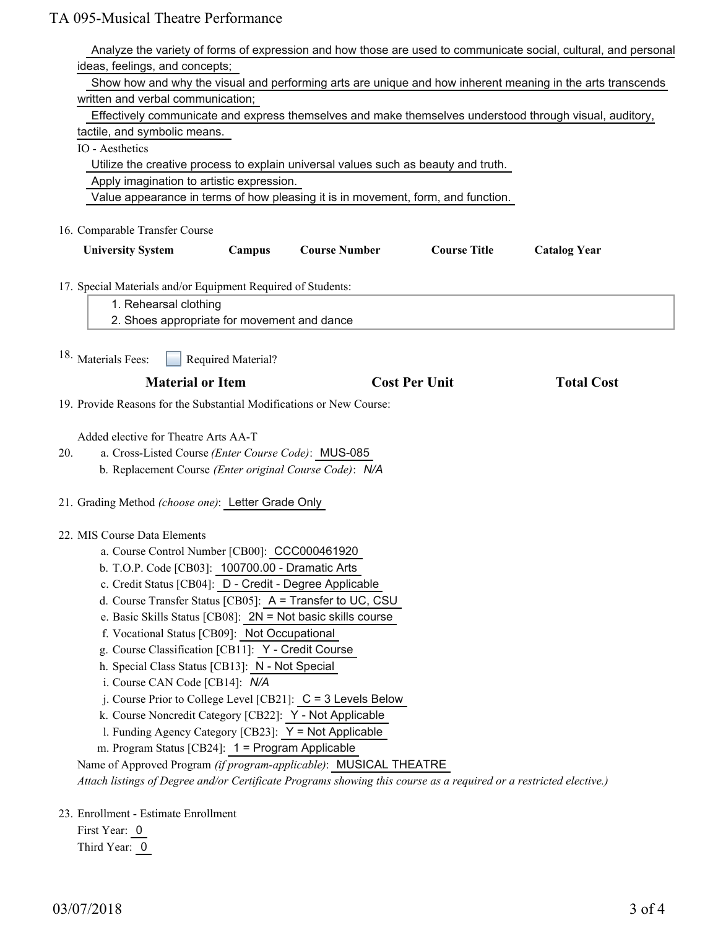| Analyze the variety of forms of expression and how those are used to communicate social, cultural, and personal       |                     |
|-----------------------------------------------------------------------------------------------------------------------|---------------------|
| ideas, feelings, and concepts;                                                                                        |                     |
| Show how and why the visual and performing arts are unique and how inherent meaning in the arts transcends            |                     |
| written and verbal communication;                                                                                     |                     |
| Effectively communicate and express themselves and make themselves understood through visual, auditory,               |                     |
| tactile, and symbolic means.                                                                                          |                     |
| IO - Aesthetics                                                                                                       |                     |
| Utilize the creative process to explain universal values such as beauty and truth.                                    |                     |
| Apply imagination to artistic expression.                                                                             |                     |
| Value appearance in terms of how pleasing it is in movement, form, and function.                                      |                     |
| 16. Comparable Transfer Course                                                                                        |                     |
| Campus<br><b>Course Number</b><br><b>Course Title</b><br><b>University System</b>                                     | <b>Catalog Year</b> |
| 17. Special Materials and/or Equipment Required of Students:                                                          |                     |
| 1. Rehearsal clothing                                                                                                 |                     |
| 2. Shoes appropriate for movement and dance                                                                           |                     |
| 18. Materials Fees:<br>Required Material?                                                                             |                     |
| <b>Material or Item</b><br><b>Cost Per Unit</b>                                                                       | <b>Total Cost</b>   |
| 19. Provide Reasons for the Substantial Modifications or New Course:                                                  |                     |
|                                                                                                                       |                     |
| Added elective for Theatre Arts AA-T                                                                                  |                     |
|                                                                                                                       |                     |
| a. Cross-Listed Course (Enter Course Code): MUS-085<br>20.<br>b. Replacement Course (Enter original Course Code): N/A |                     |
|                                                                                                                       |                     |
| 21. Grading Method (choose one): Letter Grade Only                                                                    |                     |
| 22. MIS Course Data Elements                                                                                          |                     |
| a. Course Control Number [CB00]: CCC000461920                                                                         |                     |
| b. T.O.P. Code [CB03]: 100700.00 - Dramatic Arts                                                                      |                     |
| c. Credit Status [CB04]: D - Credit - Degree Applicable                                                               |                     |
| d. Course Transfer Status [CB05]: A = Transfer to UC, CSU                                                             |                     |
| e. Basic Skills Status [CB08]: $2N = Not basic skills course$                                                         |                     |
| f. Vocational Status [CB09]: Not Occupational                                                                         |                     |
| g. Course Classification [CB11]: Y - Credit Course                                                                    |                     |
| h. Special Class Status [CB13]: N - Not Special                                                                       |                     |
| i. Course CAN Code [CB14]: N/A                                                                                        |                     |
| j. Course Prior to College Level [CB21]: C = 3 Levels Below                                                           |                     |
| k. Course Noncredit Category [CB22]: Y - Not Applicable                                                               |                     |
| 1. Funding Agency Category [CB23]: Y = Not Applicable                                                                 |                     |
| m. Program Status [CB24]: 1 = Program Applicable                                                                      |                     |
| Name of Approved Program (if program-applicable): MUSICAL THEATRE                                                     |                     |
| Attach listings of Degree and/or Certificate Programs showing this course as a required or a restricted elective.)    |                     |
|                                                                                                                       |                     |
| 23. Enrollment - Estimate Enrollment                                                                                  |                     |

First Year: 0 Third Year: 0